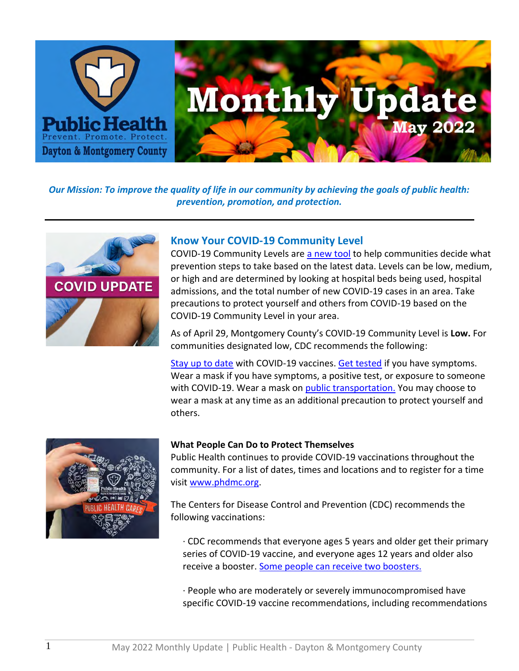

*Our Mission: To improve the quality of life in our community by achieving the goals of public health: prevention, promotion, and protection.*



## **Know Your COVID-19 Community Level**

COVID-19 Community Levels are [a new tool](https://www.cdc.gov/coronavirus/2019-ncov/your-health/covid-by-county.html) to help communities decide what prevention steps to take based on the latest data. Levels can be low, medium, or high and are determined by looking at hospital beds being used, hospital admissions, and the total number of new COVID-19 cases in an area. Take precautions to protect yourself and others from COVID-19 based on the COVID-19 Community Level in your area.

As of April 29, Montgomery County's COVID-19 Community Level is **Low.** For communities designated low, CDC recommends the following:

[Stay up to date](https://www.cdc.gov/coronavirus/2019-ncov/vaccines/stay-up-to-date.html) with COVID-19 vaccines. [Get tested](https://www.cdc.gov/coronavirus/2019-ncov/testing/diagnostic-testing.html) if you have symptoms. Wear a mask if you have symptoms, a positive test, or exposure to someone with COVID-19. Wear a mask on [public transportation.](https://www.cdc.gov/coronavirus/2019-ncov/travelers/face-masks-public-transportation.html) You may choose to wear a mask at any time as an additional precaution to protect yourself and others.



### **What People Can Do to Protect Themselves**

Public Health continues to provide COVID-19 vaccinations throughout the community. For a list of dates, times and locations and to register for a time visit [www.phdmc.org.](http://www.phdmc.org/)

The Centers for Disease Control and Prevention (CDC) recommends the following vaccinations:

· CDC recommends that everyone ages 5 years and older get their primary series of COVID-19 vaccine, and everyone ages 12 years and older also receive a booster. [Some people can receive two boosters.](https://www.cdc.gov/coronavirus/2019-ncov/vaccines/booster-shot.html#second-booster)

· People who are moderately or severely immunocompromised have specific COVID-19 vaccine recommendations, including recommendations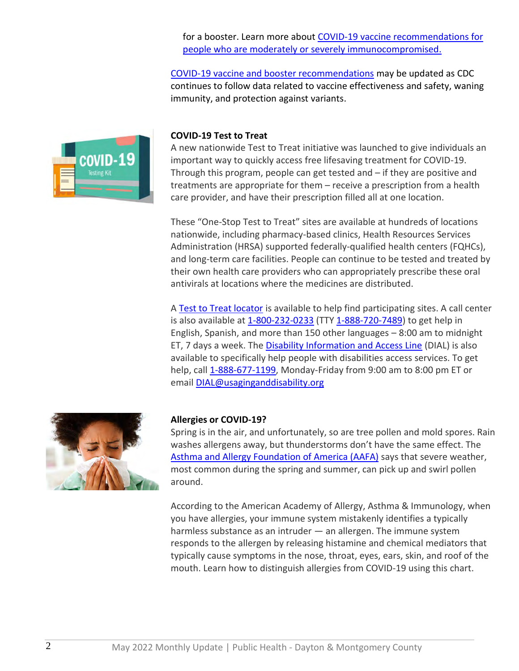for a booster. Learn more about [COVID-19 vaccine recommendations for](https://www.cdc.gov/coronavirus/2019-ncov/vaccines/recommendations/immuno.html)  [people who are moderately or severely immunocompromised.](https://www.cdc.gov/coronavirus/2019-ncov/vaccines/recommendations/immuno.html)

[COVID-19 vaccine and booster recommendations](https://www.cdc.gov/coronavirus/2019-ncov/vaccines/stay-up-to-date.html?s_cid=11747:cdc%20up%20to%20date%20vaccine:sem.ga:p:RG:GM:gen:PTN:FY22#recommendations) may be updated as CDC continues to follow data related to vaccine effectiveness and safety, waning immunity, and protection against variants.



#### **COVID-19 Test to Treat**

A new nationwide Test to Treat initiative was launched to give individuals an important way to quickly access free lifesaving treatment for COVID-19. Through this program, people can get tested and – if they are positive and treatments are appropriate for them – receive a prescription from a health care provider, and have their prescription filled all at one location.

These "One-Stop Test to Treat" sites are available at hundreds of locations nationwide, including pharmacy-based clinics, Health Resources Services Administration (HRSA) supported federally-qualified health centers (FQHCs), and long-term care facilities. People can continue to be tested and treated by their own health care providers who can appropriately prescribe these oral antivirals at locations where the medicines are distributed.

A [Test to Treat locator](https://covid-19-test-to-treat-locator-dhhs.hub.arcgis.com/) is available to help find participating sites. A call center is also available at [1-800-232-0233](https://publichealthdmc-my.sharepoint.com/:w:/g/personal/dsuffoletto_phdmc_org/Edbb7fweOjZEiQsrOOU6d9oBOw5rA7D_pwDbsKLKPPD_KQ?e=4mlHFg&CID=E84ABC61-C288-43AC-B031-ED7514C3540F&wdLOR=c51A4CB59-3E2F-41CB-BD45-AE5A18DD6017) (TTY [1-888-720-7489\)](https://publichealthdmc-my.sharepoint.com/:w:/g/personal/dsuffoletto_phdmc_org/Edbb7fweOjZEiQsrOOU6d9oBOw5rA7D_pwDbsKLKPPD_KQ?e=4mlHFg&CID=E84ABC61-C288-43AC-B031-ED7514C3540F&wdLOR=c51A4CB59-3E2F-41CB-BD45-AE5A18DD6017) to get help in English, Spanish, and more than 150 other languages – 8:00 am to midnight ET, 7 days a week. The [Disability Information and Access Line](https://acl.gov/DIAL) (DIAL) is also available to specifically help people with disabilities access services. To get help, call [1-888-677-1199,](https://publichealthdmc-my.sharepoint.com/:w:/g/personal/dsuffoletto_phdmc_org/Edbb7fweOjZEiQsrOOU6d9oBOw5rA7D_pwDbsKLKPPD_KQ?e=4mlHFg&CID=E84ABC61-C288-43AC-B031-ED7514C3540F&wdLOR=c51A4CB59-3E2F-41CB-BD45-AE5A18DD6017) Monday-Friday from 9:00 am to 8:00 pm ET or email [DIAL@usaginganddisability.org](mailto:DIAL@usaginganddisability.org)



### **Allergies or COVID-19?**

Spring is in the air, and unfortunately, so are tree pollen and mold spores. Rain washes allergens away, but thunderstorms don't have the same effect. The [Asthma and Allergy Foundation of America \(AAFA\)](https://www.aafa.org/) says that severe weather, most common during the spring and summer, can pick up and swirl pollen around.

According to the American Academy of Allergy, Asthma & Immunology, when you have allergies, your immune system mistakenly identifies a typically harmless substance as an intruder — an allergen. The immune system responds to the allergen by releasing histamine and chemical mediators that typically cause symptoms in the nose, throat, eyes, ears, skin, and roof of the mouth. Learn how to distinguish allergies from COVID-19 using this chart.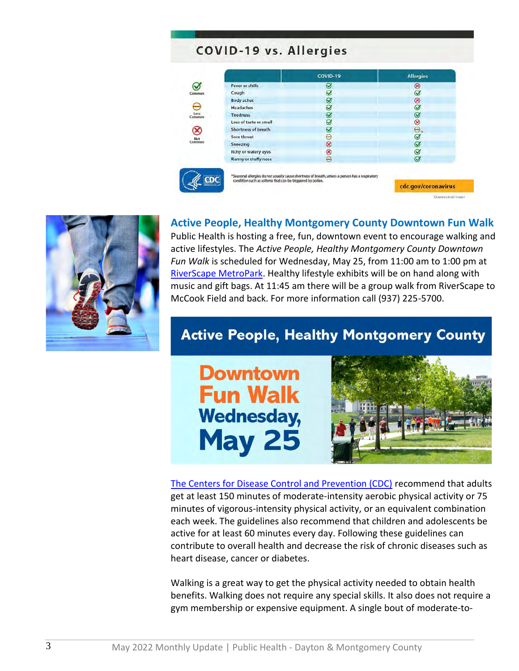## COVID-19 vs. Allergies

|                                 |                                                           | COVID-19                                                                                        | <b>Allergies</b>    |
|---------------------------------|-----------------------------------------------------------|-------------------------------------------------------------------------------------------------|---------------------|
|                                 | <b>Fever or chills</b>                                    | ☑                                                                                               | $^{\circ}$          |
| Common                          | Cough                                                     | Ø                                                                                               | $\sigma$            |
| Loss<br>Common<br>Not<br>Common | <b>Body aches</b>                                         | Ø                                                                                               | $\otimes$           |
|                                 | Headaches                                                 | $\circledcirc$                                                                                  | $\circledcirc$      |
|                                 | <b>Tiredness</b>                                          | Ø                                                                                               | ☑                   |
|                                 | Loss of taste or smell                                    | $\bm{\omega}$                                                                                   | ⊗                   |
|                                 | Shortness of breath                                       | $\omega$                                                                                        | Θ                   |
|                                 | Sore throat                                               | е                                                                                               | Ø                   |
|                                 | Sneezing                                                  | ⊗                                                                                               | $\circledcirc$      |
|                                 | Itchy or watery eyes                                      | ⊗                                                                                               | $\circledcirc$      |
|                                 | <b>Runny or stuffy nose</b>                               | θ                                                                                               | $\varnothing$       |
|                                 | condition such as asthma that can be triggered by pollen. | *Seasonal allergies do not usually cause shortness of breath, unless a person has a respiratory | cdc.gov/coronavirus |



**Active People, Healthy Montgomery County Downtown Fun Walk**

Public Health is hosting a free, fun, downtown event to encourage walking and active lifestyles. The *Active People, Healthy Montgomery County Downtown Fun Walk* is scheduled for Wednesday, May 25, from 11:00 am to 1:00 pm at [RiverScape MetroPark.](https://www.metroparks.org/places-to-go/riverscape/) Healthy lifestyle exhibits will be on hand along with music and gift bags. At 11:45 am there will be a group walk from RiverScape to McCook Field and back. For more information call (937) 225-5700.

# **Active People, Healthy Montgomery County**



[The Centers for Disease Control and Prevention \(CDC\)](https://www.cdc.gov/) recommend that adults get at least 150 minutes of moderate-intensity aerobic physical activity or 75 minutes of vigorous-intensity physical activity, or an equivalent combination each week. The guidelines also recommend that children and adolescents be active for at least 60 minutes every day. Following these guidelines can contribute to overall health and decrease the risk of chronic diseases such as heart disease, cancer or diabetes.

Walking is a great way to get the physical activity needed to obtain health benefits. Walking does not require any special skills. It also does not require a gym membership or expensive equipment. A single bout of moderate-to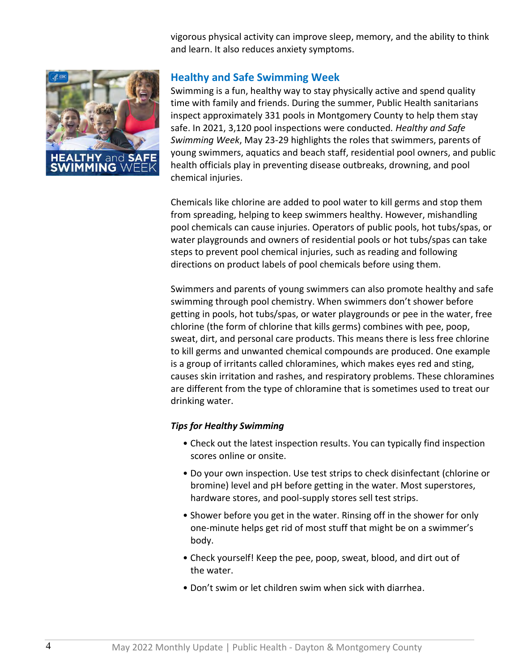vigorous physical activity can improve sleep, memory, and the ability to think and learn. It also reduces anxiety symptoms.



## **Healthy and Safe Swimming Week**

Swimming is a fun, healthy way to stay physically active and spend quality time with family and friends. During the summer, Public Health sanitarians inspect approximately 331 pools in Montgomery County to help them stay safe. In 2021, 3,120 pool inspections were conducted*. Healthy and Safe Swimming Week*, May 23-29 highlights the roles that swimmers, parents of young swimmers, aquatics and beach staff, residential pool owners, and public health officials play in preventing disease outbreaks, drowning, and pool chemical injuries.

Chemicals like chlorine are added to pool water to kill germs and stop them from spreading, helping to keep swimmers healthy. However, mishandling pool chemicals can cause injuries. Operators of public pools, hot tubs/spas, or water playgrounds and owners of residential pools or hot tubs/spas can take steps to prevent pool chemical injuries, such as reading and following directions on product labels of pool chemicals before using them.

Swimmers and parents of young swimmers can also promote healthy and safe swimming through pool chemistry. When swimmers don't shower before getting in pools, hot tubs/spas, or water playgrounds or pee in the water, free chlorine (the form of chlorine that kills germs) combines with pee, poop, sweat, dirt, and personal care products. This means there is less free chlorine to kill germs and unwanted chemical compounds are produced. One example is a group of irritants called chloramines, which makes eyes red and sting, causes skin irritation and rashes, and respiratory problems. These chloramines are different from the type of chloramine that is sometimes used to treat our drinking water.

### *Tips for Healthy Swimming*

- Check out the latest inspection results. You can typically find inspection scores online or onsite.
- Do your own inspection. Use test strips to check disinfectant (chlorine or bromine) level and pH before getting in the water. Most superstores, hardware stores, and pool-supply stores sell test strips.
- Shower before you get in the water. Rinsing off in the shower for only one-minute helps get rid of most stuff that might be on a swimmer's body.
- Check yourself! Keep the pee, poop, sweat, blood, and dirt out of the water.
- Don't swim or let children swim when sick with diarrhea.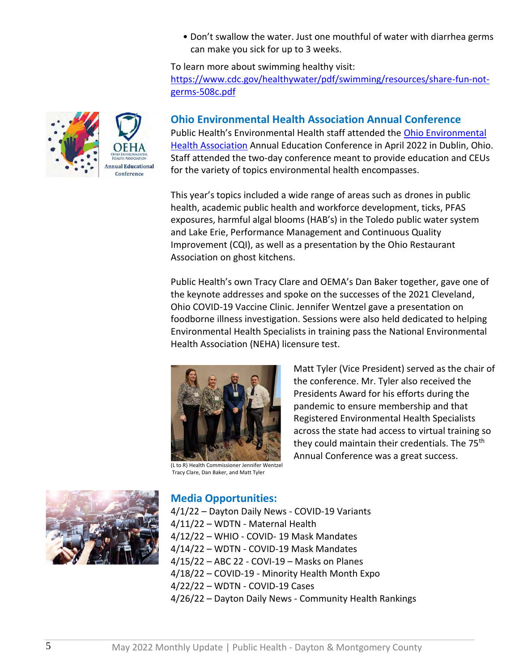• Don't swallow the water. Just one mouthful of water with diarrhea germs can make you sick for up to 3 weeks.

To learn more about swimming healthy visit:

[https://www.cdc.gov/healthywater/pdf/swimming/resources/share-fun-not](https://www.cdc.gov/healthywater/pdf/swimming/resources/share-fun-not-germs-508c.pdf)[germs-508c.pdf](https://www.cdc.gov/healthywater/pdf/swimming/resources/share-fun-not-germs-508c.pdf)

## **Ohio Environmental Health Association Annual Conference**

Public Health's Environmental Health staff attended the [Ohio Environmental](http://www.ohioeha.org/aws/OEHA/pt/sp/home_page)  [Health Association](http://www.ohioeha.org/aws/OEHA/pt/sp/home_page) Annual Education Conference in April 2022 in Dublin, Ohio. Staff attended the two-day conference meant to provide education and CEUs for the variety of topics environmental health encompasses.

This year's topics included a wide range of areas such as drones in public health, academic public health and workforce development, ticks, PFAS exposures, harmful algal blooms (HAB's) in the Toledo public water system and Lake Erie, Performance Management and Continuous Quality Improvement (CQI), as well as a presentation by the Ohio Restaurant Association on ghost kitchens.

Public Health's own Tracy Clare and OEMA's Dan Baker together, gave one of the keynote addresses and spoke on the successes of the 2021 Cleveland, Ohio COVID-19 Vaccine Clinic. Jennifer Wentzel gave a presentation on foodborne illness investigation. Sessions were also held dedicated to helping Environmental Health Specialists in training pass the National Environmental Health Association (NEHA) licensure test.



(L to R) Health Commissioner Jennifer Wentzel Tracy Clare, Dan Baker, and Matt Tyler

Matt Tyler (Vice President) served as the chair of the conference. Mr. Tyler also received the Presidents Award for his efforts during the pandemic to ensure membership and that Registered Environmental Health Specialists across the state had access to virtual training so they could maintain their credentials. The 75<sup>th</sup> Annual Conference was a great success.



## **Media Opportunities:**

4/1/22 – Dayton Daily News - COVID-19 Variants 4/11/22 – WDTN - Maternal Health 4/12/22 – WHIO - COVID- 19 Mask Mandates 4/14/22 – WDTN - COVID-19 Mask Mandates 4/15/22 – ABC 22 - COVI-19 – Masks on Planes 4/18/22 – COVID-19 - Minority Health Month Expo 4/22/22 – WDTN - COVID-19 Cases 4/26/22 – Dayton Daily News - Community Health Rankings